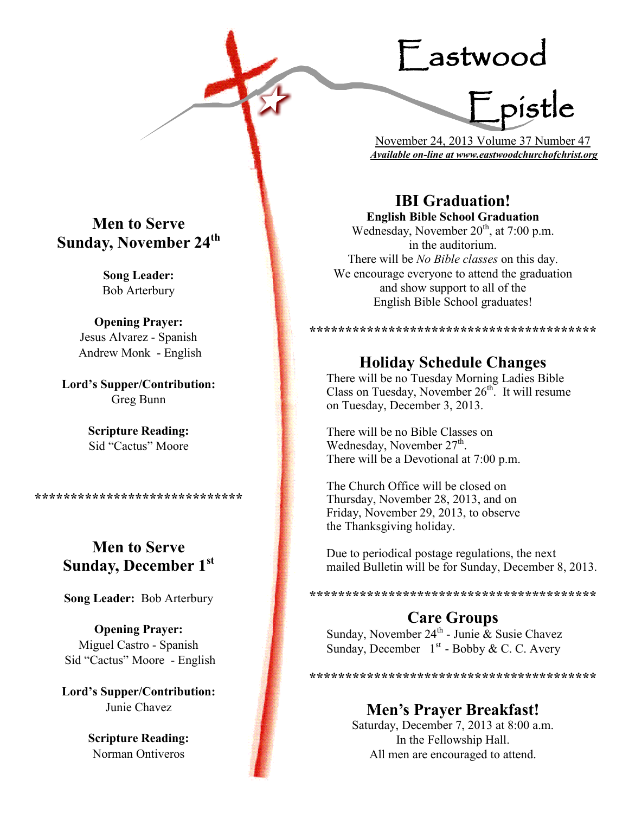# Eastwood

F pistle

 November 24, 2013 Volume 37 Number 47 *Available on-line at www.eastwoodchurchofchrist.org*

# **IBI Graduation!**

**English Bible School Graduation**  Wednesday, November  $20<sup>th</sup>$ , at 7:00 p.m. in the auditorium. There will be *No Bible classes* on this day. We encourage everyone to attend the graduation and show support to all of the English Bible School graduates!

**\*\*\*\*\*\*\*\*\*\*\*\*\*\*\*\*\*\*\*\*\*\*\*\*\*\*\*\*\*\*\*\*\*\*\*\*\*\*\*\***

# **Holiday Schedule Changes**

There will be no Tuesday Morning Ladies Bible Class on Tuesday, November  $26<sup>th</sup>$ . It will resume on Tuesday, December 3, 2013.

There will be no Bible Classes on Wednesday, November 27<sup>th</sup>. There will be a Devotional at 7:00 p.m.

The Church Office will be closed on Thursday, November 28, 2013, and on Friday, November 29, 2013, to observe the Thanksgiving holiday.

Due to periodical postage regulations, the next mailed Bulletin will be for Sunday, December 8, 2013.

**\*\*\*\*\*\*\*\*\*\*\*\*\*\*\*\*\*\*\*\*\*\*\*\*\*\*\*\*\*\*\*\*\*\*\*\*\*\*\*\***

# **Care Groups**

Sunday, November 24<sup>th</sup> - Junie & Susie Chavez Sunday, December  $1<sup>st</sup>$  - Bobby & C. C. Avery

\*\*\*\*\*\*\*\*\*\*\*\*\*\*\*\*\*\*\*\*\*\*\*\*\*\*\*\*\*\*\*\*\*\*\*

# **Men's Prayer Breakfast!**

Saturday, December 7, 2013 at 8:00 a.m. In the Fellowship Hall. All men are encouraged to attend.

## **Men to Serve Sunday, November 24th**

**Song Leader:**  Bob Arterbury

**Opening Prayer:** Jesus Alvarez - Spanish Andrew Monk - English

**Lord's Supper/Contribution:**  Greg Bunn

> **Scripture Reading:**  Sid "Cactus" Moore

**\*\*\*\*\*\*\*\*\*\*\*\*\*\*\*\*\*\*\*\*\*\*\*\*\*\*\*\*\***

# **Men to Serve Sunday, December 1st**

**Song Leader:** Bob Arterbury

**Opening Prayer:** Miguel Castro - Spanish Sid "Cactus" Moore - English

**Lord's Supper/Contribution:**  Junie Chavez

> **Scripture Reading:**  Norman Ontiveros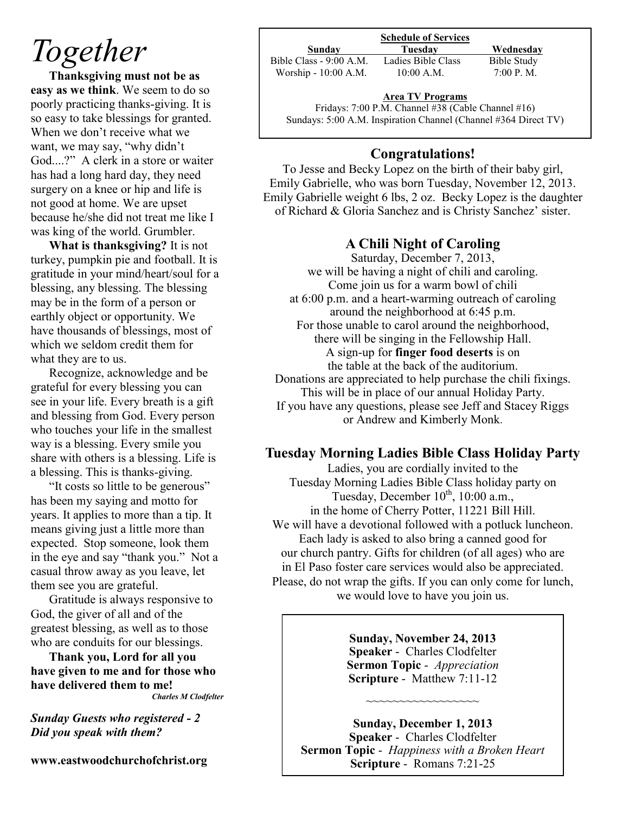# *Together*

**Thanksgiving must not be as easy as we think**. We seem to do so poorly practicing thanks-giving. It is so easy to take blessings for granted. When we don't receive what we want, we may say, "why didn't God....?" A clerk in a store or waiter has had a long hard day, they need surgery on a knee or hip and life is not good at home. We are upset because he/she did not treat me like I was king of the world. Grumbler.

**What is thanksgiving?** It is not turkey, pumpkin pie and football. It is gratitude in your mind/heart/soul for a blessing, any blessing. The blessing may be in the form of a person or earthly object or opportunity. We have thousands of blessings, most of which we seldom credit them for what they are to us.

Recognize, acknowledge and be grateful for every blessing you can see in your life. Every breath is a gift and blessing from God. Every person who touches your life in the smallest way is a blessing. Every smile you share with others is a blessing. Life is a blessing. This is thanks-giving.

"It costs so little to be generous" has been my saying and motto for years. It applies to more than a tip. It means giving just a little more than expected. Stop someone, look them in the eye and say "thank you." Not a casual throw away as you leave, let them see you are grateful.

Gratitude is always responsive to God, the giver of all and of the greatest blessing, as well as to those who are conduits for our blessings.

**Thank you, Lord for all you have given to me and for those who have delivered them to me!**

*Charles M Clodfelter*

*Sunday Guests who registered - 2 Did you speak with them?*

**www.eastwoodchurchofchrist.org**

#### **Schedule of Services**

Bible Class - 9:00 A.M. Ladies Bible Class Bible Study Worship - 10:00 A.M. 10:00 A.M. 7:00 P.M.

**Sunday Tuesday Wednesday**

# **Area TV Programs**

Fridays: 7:00 P.M. Channel #38 (Cable Channel #16) Sundays: 5:00 A.M. Inspiration Channel (Channel #364 Direct TV)

### **Congratulations!**

To Jesse and Becky Lopez on the birth of their baby girl, Emily Gabrielle, who was born Tuesday, November 12, 2013. Emily Gabrielle weight 6 lbs, 2 oz. Becky Lopez is the daughter of Richard & Gloria Sanchez and is Christy Sanchez' sister.

### **A Chili Night of Caroling**

Saturday, December 7, 2013, we will be having a night of chili and caroling. Come join us for a warm bowl of chili at 6:00 p.m. and a heart-warming outreach of caroling around the neighborhood at 6:45 p.m. For those unable to carol around the neighborhood, there will be singing in the Fellowship Hall. A sign-up for **finger food deserts** is on the table at the back of the auditorium. Donations are appreciated to help purchase the chili fixings. This will be in place of our annual Holiday Party. If you have any questions, please see Jeff and Stacey Riggs or Andrew and Kimberly Monk.

#### **Tuesday Morning Ladies Bible Class Holiday Party**

Ladies, you are cordially invited to the Tuesday Morning Ladies Bible Class holiday party on Tuesday, December  $10^{th}$ ,  $10:00$  a.m., in the home of Cherry Potter, 11221 Bill Hill. We will have a devotional followed with a potluck luncheon. Each lady is asked to also bring a canned good for our church pantry. Gifts for children (of all ages) who are in El Paso foster care services would also be appreciated. Please, do not wrap the gifts. If you can only come for lunch, we would love to have you join us.

> **Sunday, November 24, 2013 Speaker** - Charles Clodfelter **Sermon Topic** - *Appreciation* **Scripture** - Matthew 7:11-12

> > ~~~~~~~~~~~~~~~

**Sunday, December 1, 2013 Speaker** - Charles Clodfelter **Sermon Topic** - *Happiness with a Broken Heart* **Scripture** - Romans 7:21-25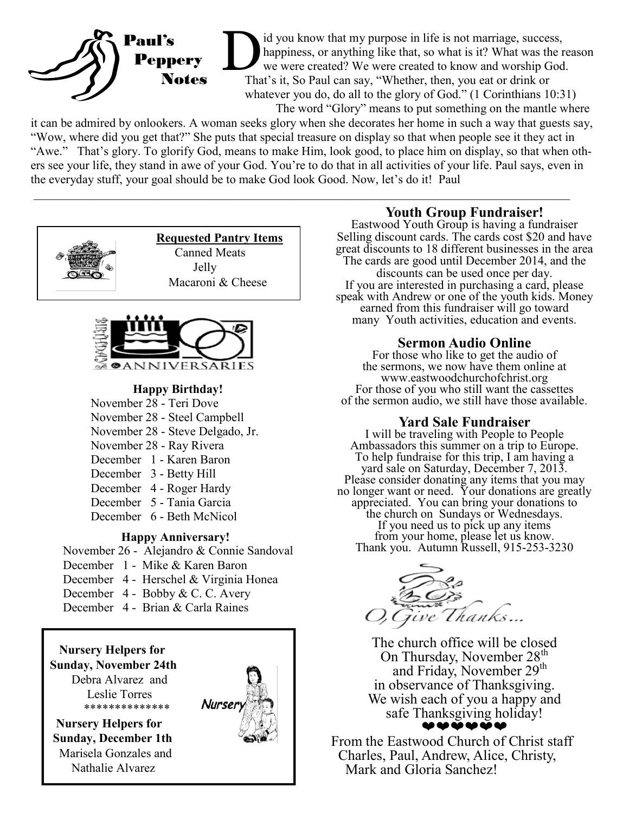

D<sub>The</sub> id you know that my purpose in life is not marriage, success, happiness, or anything like that, so what is it? What was the reason we were created? We were created to know and worship God. That's it, So Paul can say, "Whether, then, you eat or drink or whatever you do, do all to the glory of God." (1 Corinthians 10:31) The word "Glory" means to put something on the mantle where

it can be admired by onlookers. A woman seeks glory when she decorates her home in such a way that guests say, "Wow, where did you get that?" She puts that special treasure on display so that when people see it they act in "Awe." That's glory. To glorify God, means to make Him, look good, to place him on display, so that when others see your life, they stand in awe of your God. You're to do that in all activities of your life. Paul says, even in the everyday stuff, your goal should be to make God look Good. Now, let's do it! Paul

 $\mathcal{L}_\mathcal{L} = \{ \mathcal{L}_\mathcal{L} = \{ \mathcal{L}_\mathcal{L} = \{ \mathcal{L}_\mathcal{L} = \{ \mathcal{L}_\mathcal{L} = \{ \mathcal{L}_\mathcal{L} = \{ \mathcal{L}_\mathcal{L} = \{ \mathcal{L}_\mathcal{L} = \{ \mathcal{L}_\mathcal{L} = \{ \mathcal{L}_\mathcal{L} = \{ \mathcal{L}_\mathcal{L} = \{ \mathcal{L}_\mathcal{L} = \{ \mathcal{L}_\mathcal{L} = \{ \mathcal{L}_\mathcal{L} = \{ \mathcal{L}_\mathcal{$ 





#### **Happy Birthday!**

- November 28 Teri Dove
- November 28 Steel Campbell
- November 28 Steve Delgado, Jr.
- November 28 Ray Rivera
- December 1 Karen Baron
- December 3 Betty Hill
- December 4 Roger Hardy
- December 5 Tania Garcia
- December 6 Beth McNicol

#### **Happy Anniversary!**

November 26 - Alejandro & Connie Sandoval

- December 1 Mike & Karen Baron
- December 4 Herschel & Virginia Honea
- December 4 Bobby & C. C. Avery
- December 4 Brian & Carla Raines



### **Youth Group Fundraiser!**

Eastwood Youth Group is having a fundraiser Selling discount cards. The cards cost \$20 and have great discounts to 18 different businesses in the area The cards are good until December 2014, and the discounts can be used once per day. If you are interested in purchasing a card, please speak with Andrew or one of the youth kids. Money earned from this fundraiser will go toward many Youth activities, education and events.

#### **Sermon Audio Online**

For those who like to get the audio of the sermons, we now have them online at www.eastwoodchurchofchrist.org For those of you who still want the cassettes of the sermon audio, we still have those available.

#### **Yard Sale Fundraiser**

I will be traveling with People to People Ambassadors this summer on a trip to Europe. To help fundraise for this trip, I am having a yard sale on Saturday, December 7, 2013. Please consider donating any items that you may no longer want or need. Your donations are greatly appreciated. You can bring your donations to the church on Sundays or Wednesdays. If you need us to pick up any items from your home, please let us know. Thank you. Autumn Russell, 915-253-3230



The church office will be closed On Thursday, November  $28<sup>th</sup>$ and Friday, November 29<sup>th</sup> in observance of Thanksgiving. We wish each of you a happy and safe Thanksgiving holiday! ❤❤❤❤❤❤

From the Eastwood Church of Christ staff Charles, Paul, Andrew, Alice, Christy, Mark and Gloria Sanchez!